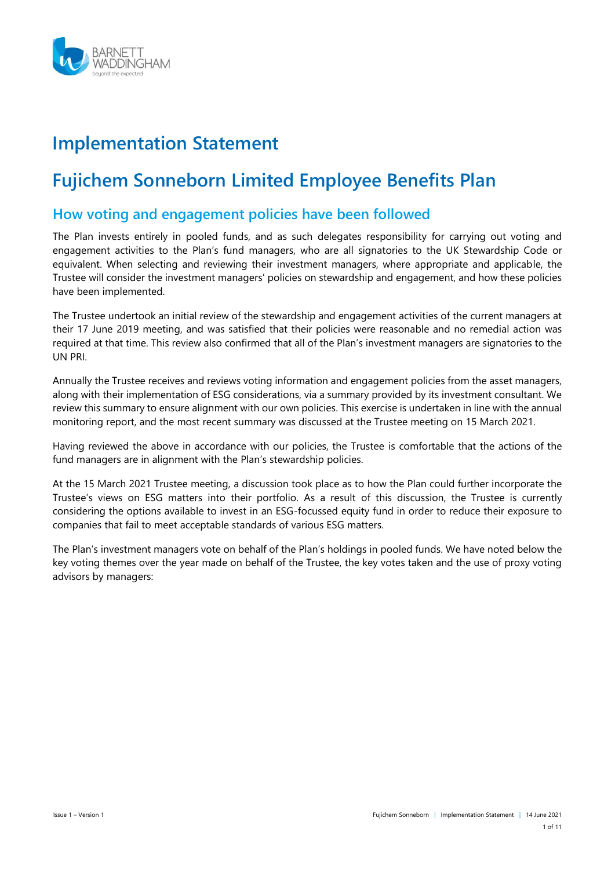

# **Implementation Statement**

# **Fujichem Sonneborn Limited Employee Benefits Plan**

## **How voting and engagement policies have been followed**

The Plan invests entirely in pooled funds, and as such delegates responsibility for carrying out voting and engagement activities to the Plan's fund managers, who are all signatories to the UK Stewardship Code or equivalent. When selecting and reviewing their investment managers, where appropriate and applicable, the Trustee will consider the investment managers' policies on stewardship and engagement, and how these policies have been implemented.

The Trustee undertook an initial review of the stewardship and engagement activities of the current managers at their 17 June 2019 meeting, and was satisfied that their policies were reasonable and no remedial action was required at that time. This review also confirmed that all of the Plan's investment managers are signatories to the UN PRI.

Annually the Trustee receives and reviews voting information and engagement policies from the asset managers, along with their implementation of ESG considerations, via a summary provided by its investment consultant. We review this summary to ensure alignment with our own policies. This exercise is undertaken in line with the annual monitoring report, and the most recent summary was discussed at the Trustee meeting on 15 March 2021.

Having reviewed the above in accordance with our policies, the Trustee is comfortable that the actions of the fund managers are in alignment with the Plan's stewardship policies.

At the 15 March 2021 Trustee meeting, a discussion took place as to how the Plan could further incorporate the Trustee's views on ESG matters into their portfolio. As a result of this discussion, the Trustee is currently considering the options available to invest in an ESG-focussed equity fund in order to reduce their exposure to companies that fail to meet acceptable standards of various ESG matters.

The Plan's investment managers vote on behalf of the Plan's holdings in pooled funds. We have noted below the key voting themes over the year made on behalf of the Trustee, the key votes taken and the use of proxy voting advisors by managers: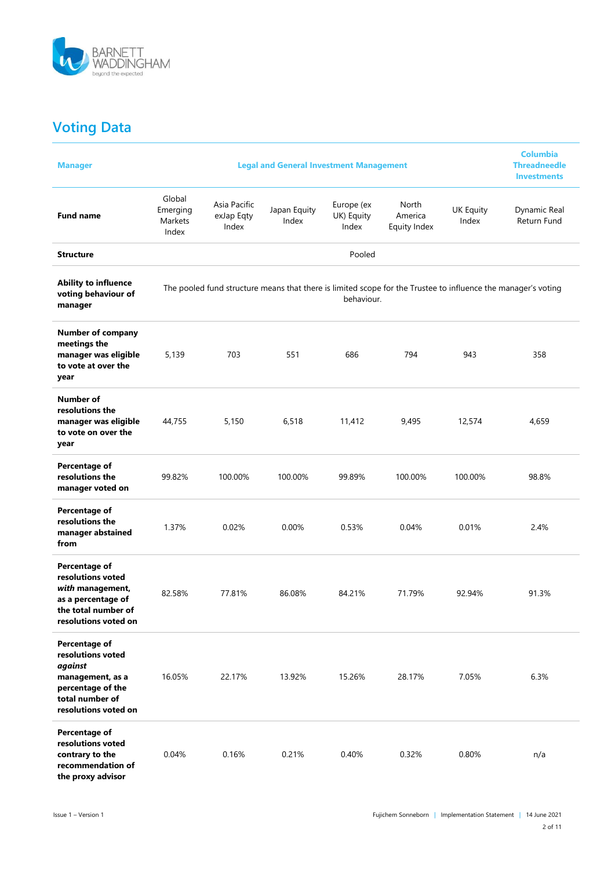

## **Voting Data**

| <b>Manager</b>                                                                                                                    |                                        |                                     | <b>Legal and General Investment Management</b> |                                   |                                  |                           | <b>Columbia</b><br><b>Threadneedle</b><br><b>Investments</b>                                                  |
|-----------------------------------------------------------------------------------------------------------------------------------|----------------------------------------|-------------------------------------|------------------------------------------------|-----------------------------------|----------------------------------|---------------------------|---------------------------------------------------------------------------------------------------------------|
| <b>Fund name</b>                                                                                                                  | Global<br>Emerging<br>Markets<br>Index | Asia Pacific<br>exJap Eqty<br>Index | Japan Equity<br>Index                          | Europe (ex<br>UK) Equity<br>Index | North<br>America<br>Equity Index | <b>UK Equity</b><br>Index | Dynamic Real<br>Return Fund                                                                                   |
| <b>Structure</b>                                                                                                                  |                                        |                                     |                                                | Pooled                            |                                  |                           |                                                                                                               |
| <b>Ability to influence</b><br>voting behaviour of<br>manager                                                                     |                                        |                                     |                                                | behaviour.                        |                                  |                           | The pooled fund structure means that there is limited scope for the Trustee to influence the manager's voting |
| <b>Number of company</b><br>meetings the<br>manager was eligible<br>to vote at over the<br>year                                   | 5,139                                  | 703                                 | 551                                            | 686                               | 794                              | 943                       | 358                                                                                                           |
| Number of<br>resolutions the<br>manager was eligible<br>to vote on over the<br>year                                               | 44,755                                 | 5,150                               | 6,518                                          | 11,412                            | 9,495                            | 12,574                    | 4,659                                                                                                         |
| Percentage of<br>resolutions the<br>manager voted on                                                                              | 99.82%                                 | 100.00%                             | 100.00%                                        | 99.89%                            | 100.00%                          | 100.00%                   | 98.8%                                                                                                         |
| Percentage of<br>resolutions the<br>manager abstained<br>from                                                                     | 1.37%                                  | 0.02%                               | 0.00%                                          | 0.53%                             | 0.04%                            | 0.01%                     | 2.4%                                                                                                          |
| Percentage of<br>resolutions voted<br>with management,<br>as a percentage of<br>the total number of<br>resolutions voted on       | 82.58%                                 | 77.81%                              | 86.08%                                         | 84.21%                            | 71.79%                           | 92.94%                    | 91.3%                                                                                                         |
| Percentage of<br>resolutions voted<br>against<br>management, as a<br>percentage of the<br>total number of<br>resolutions voted on | 16.05%                                 | 22.17%                              | 13.92%                                         | 15.26%                            | 28.17%                           | 7.05%                     | 6.3%                                                                                                          |
| Percentage of<br>resolutions voted<br>contrary to the<br>recommendation of<br>the proxy advisor                                   | 0.04%                                  | 0.16%                               | 0.21%                                          | 0.40%                             | 0.32%                            | 0.80%                     | n/a                                                                                                           |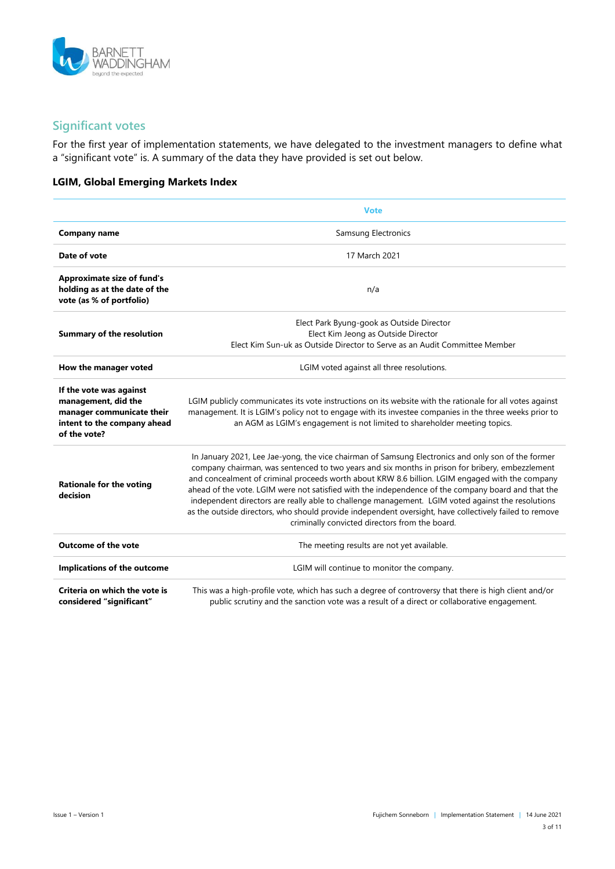

## **Significant votes**

For the first year of implementation statements, we have delegated to the investment managers to define what a "significant vote" is. A summary of the data they have provided is set out below.

#### **LGIM, Global Emerging Markets Index**

|                                                                                                                            | <b>Vote</b>                                                                                                                                                                                                                                                                                                                                                                                                                                                                                                                                                                                                                                                                     |  |
|----------------------------------------------------------------------------------------------------------------------------|---------------------------------------------------------------------------------------------------------------------------------------------------------------------------------------------------------------------------------------------------------------------------------------------------------------------------------------------------------------------------------------------------------------------------------------------------------------------------------------------------------------------------------------------------------------------------------------------------------------------------------------------------------------------------------|--|
| <b>Company name</b>                                                                                                        | Samsung Electronics                                                                                                                                                                                                                                                                                                                                                                                                                                                                                                                                                                                                                                                             |  |
| Date of vote                                                                                                               | 17 March 2021                                                                                                                                                                                                                                                                                                                                                                                                                                                                                                                                                                                                                                                                   |  |
| <b>Approximate size of fund's</b><br>holding as at the date of the<br>vote (as % of portfolio)                             | n/a                                                                                                                                                                                                                                                                                                                                                                                                                                                                                                                                                                                                                                                                             |  |
| <b>Summary of the resolution</b>                                                                                           | Elect Park Byung-gook as Outside Director<br>Elect Kim Jeong as Outside Director<br>Elect Kim Sun-uk as Outside Director to Serve as an Audit Committee Member                                                                                                                                                                                                                                                                                                                                                                                                                                                                                                                  |  |
| How the manager voted                                                                                                      | LGIM voted against all three resolutions.                                                                                                                                                                                                                                                                                                                                                                                                                                                                                                                                                                                                                                       |  |
| If the vote was against<br>management, did the<br>manager communicate their<br>intent to the company ahead<br>of the vote? | LGIM publicly communicates its vote instructions on its website with the rationale for all votes against<br>management. It is LGIM's policy not to engage with its investee companies in the three weeks prior to<br>an AGM as LGIM's engagement is not limited to shareholder meeting topics.                                                                                                                                                                                                                                                                                                                                                                                  |  |
| <b>Rationale for the voting</b><br>decision                                                                                | In January 2021, Lee Jae-yong, the vice chairman of Samsung Electronics and only son of the former<br>company chairman, was sentenced to two years and six months in prison for bribery, embezzlement<br>and concealment of criminal proceeds worth about KRW 8.6 billion. LGIM engaged with the company<br>ahead of the vote. LGIM were not satisfied with the independence of the company board and that the<br>independent directors are really able to challenge management. LGIM voted against the resolutions<br>as the outside directors, who should provide independent oversight, have collectively failed to remove<br>criminally convicted directors from the board. |  |
| <b>Outcome of the vote</b>                                                                                                 | The meeting results are not yet available.                                                                                                                                                                                                                                                                                                                                                                                                                                                                                                                                                                                                                                      |  |
| Implications of the outcome                                                                                                | LGIM will continue to monitor the company.                                                                                                                                                                                                                                                                                                                                                                                                                                                                                                                                                                                                                                      |  |
| Criteria on which the vote is<br>considered "significant"                                                                  | This was a high-profile vote, which has such a degree of controversy that there is high client and/or<br>public scrutiny and the sanction vote was a result of a direct or collaborative engagement.                                                                                                                                                                                                                                                                                                                                                                                                                                                                            |  |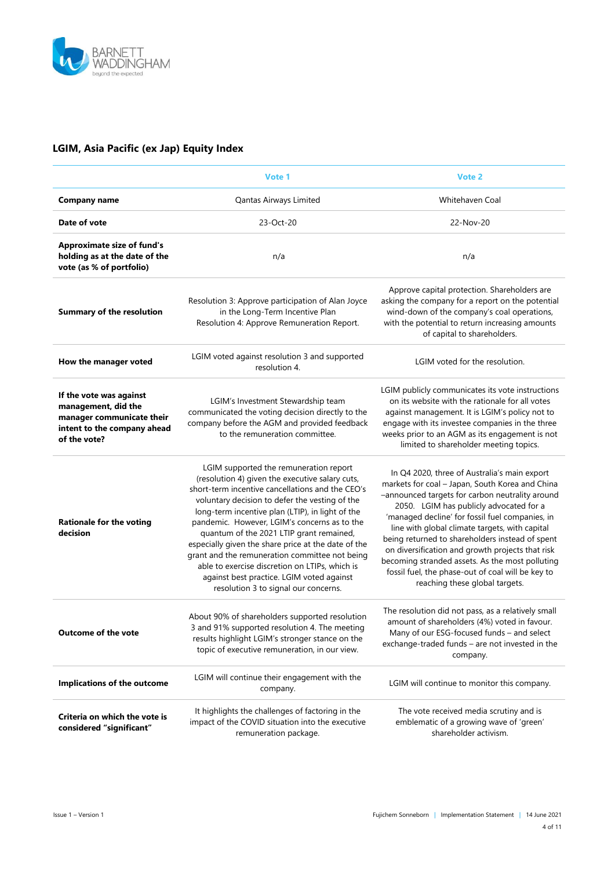

### **LGIM, Asia Pacific (ex Jap) Equity Index**

|                                                                                                                            | Vote 1                                                                                                                                                                                                                                                                                                                                                                                                                                                                                                                                                                                          | Vote 2                                                                                                                                                                                                                                                                                                                                                                                                                                                                                                                                              |  |
|----------------------------------------------------------------------------------------------------------------------------|-------------------------------------------------------------------------------------------------------------------------------------------------------------------------------------------------------------------------------------------------------------------------------------------------------------------------------------------------------------------------------------------------------------------------------------------------------------------------------------------------------------------------------------------------------------------------------------------------|-----------------------------------------------------------------------------------------------------------------------------------------------------------------------------------------------------------------------------------------------------------------------------------------------------------------------------------------------------------------------------------------------------------------------------------------------------------------------------------------------------------------------------------------------------|--|
| <b>Company name</b>                                                                                                        | Qantas Airways Limited                                                                                                                                                                                                                                                                                                                                                                                                                                                                                                                                                                          | Whitehaven Coal                                                                                                                                                                                                                                                                                                                                                                                                                                                                                                                                     |  |
| Date of vote                                                                                                               | 23-Oct-20                                                                                                                                                                                                                                                                                                                                                                                                                                                                                                                                                                                       | 22-Nov-20                                                                                                                                                                                                                                                                                                                                                                                                                                                                                                                                           |  |
| <b>Approximate size of fund's</b><br>holding as at the date of the<br>vote (as % of portfolio)                             | n/a                                                                                                                                                                                                                                                                                                                                                                                                                                                                                                                                                                                             | n/a                                                                                                                                                                                                                                                                                                                                                                                                                                                                                                                                                 |  |
| <b>Summary of the resolution</b>                                                                                           | Resolution 3: Approve participation of Alan Joyce<br>in the Long-Term Incentive Plan<br>Resolution 4: Approve Remuneration Report.                                                                                                                                                                                                                                                                                                                                                                                                                                                              | Approve capital protection. Shareholders are<br>asking the company for a report on the potential<br>wind-down of the company's coal operations,<br>with the potential to return increasing amounts<br>of capital to shareholders.                                                                                                                                                                                                                                                                                                                   |  |
| How the manager voted                                                                                                      | LGIM voted against resolution 3 and supported<br>resolution 4.                                                                                                                                                                                                                                                                                                                                                                                                                                                                                                                                  | LGIM voted for the resolution.                                                                                                                                                                                                                                                                                                                                                                                                                                                                                                                      |  |
| If the vote was against<br>management, did the<br>manager communicate their<br>intent to the company ahead<br>of the vote? | LGIM's Investment Stewardship team<br>communicated the voting decision directly to the<br>company before the AGM and provided feedback<br>to the remuneration committee.                                                                                                                                                                                                                                                                                                                                                                                                                        | LGIM publicly communicates its vote instructions<br>on its website with the rationale for all votes<br>against management. It is LGIM's policy not to<br>engage with its investee companies in the three<br>weeks prior to an AGM as its engagement is not<br>limited to shareholder meeting topics.                                                                                                                                                                                                                                                |  |
| <b>Rationale for the voting</b><br>decision                                                                                | LGIM supported the remuneration report<br>(resolution 4) given the executive salary cuts,<br>short-term incentive cancellations and the CEO's<br>voluntary decision to defer the vesting of the<br>long-term incentive plan (LTIP), in light of the<br>pandemic. However, LGIM's concerns as to the<br>quantum of the 2021 LTIP grant remained,<br>especially given the share price at the date of the<br>grant and the remuneration committee not being<br>able to exercise discretion on LTIPs, which is<br>against best practice. LGIM voted against<br>resolution 3 to signal our concerns. | In Q4 2020, three of Australia's main export<br>markets for coal - Japan, South Korea and China<br>-announced targets for carbon neutrality around<br>2050. LGIM has publicly advocated for a<br>'managed decline' for fossil fuel companies, in<br>line with global climate targets, with capital<br>being returned to shareholders instead of spent<br>on diversification and growth projects that risk<br>becoming stranded assets. As the most polluting<br>fossil fuel, the phase-out of coal will be key to<br>reaching these global targets. |  |
| <b>Outcome of the vote</b>                                                                                                 | About 90% of shareholders supported resolution<br>3 and 91% supported resolution 4. The meeting<br>results highlight LGIM's stronger stance on the<br>topic of executive remuneration, in our view.                                                                                                                                                                                                                                                                                                                                                                                             | The resolution did not pass, as a relatively small<br>amount of shareholders (4%) voted in favour.<br>Many of our ESG-focused funds - and select<br>exchange-traded funds - are not invested in the<br>company.                                                                                                                                                                                                                                                                                                                                     |  |
| Implications of the outcome                                                                                                | LGIM will continue their engagement with the<br>company.                                                                                                                                                                                                                                                                                                                                                                                                                                                                                                                                        | LGIM will continue to monitor this company.                                                                                                                                                                                                                                                                                                                                                                                                                                                                                                         |  |
| Criteria on which the vote is<br>considered "significant"                                                                  | It highlights the challenges of factoring in the<br>impact of the COVID situation into the executive<br>remuneration package.                                                                                                                                                                                                                                                                                                                                                                                                                                                                   | The vote received media scrutiny and is<br>emblematic of a growing wave of 'green'<br>shareholder activism.                                                                                                                                                                                                                                                                                                                                                                                                                                         |  |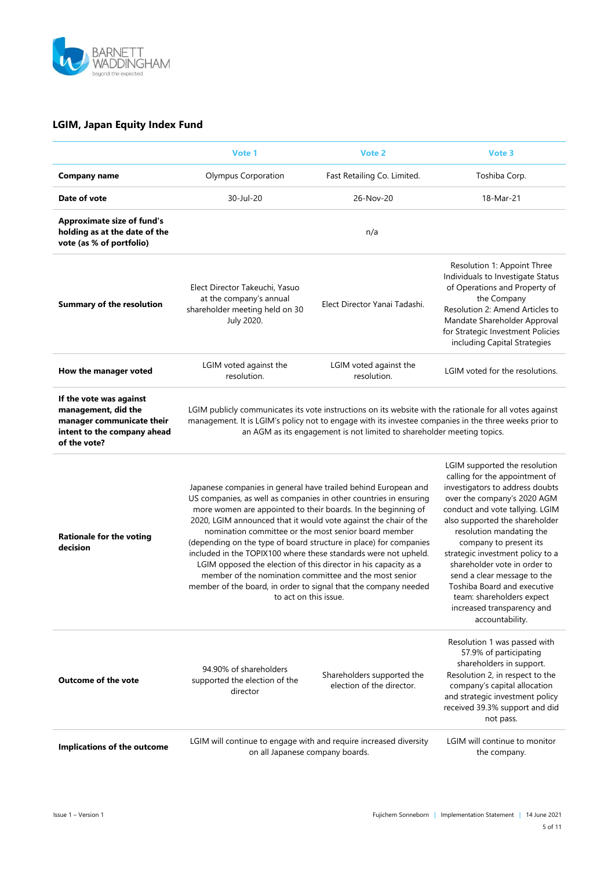

#### **LGIM, Japan Equity Index Fund**

|                                                                                                                            | Vote 1                                                                                                                                                                                                                                                                                                                                                                                                                                                                                                                                                                                                                                                                                            | Vote 2                                                                 | Vote 3                                                                                                                                                                                                                                                                                                                                                                                                                                                                       |
|----------------------------------------------------------------------------------------------------------------------------|---------------------------------------------------------------------------------------------------------------------------------------------------------------------------------------------------------------------------------------------------------------------------------------------------------------------------------------------------------------------------------------------------------------------------------------------------------------------------------------------------------------------------------------------------------------------------------------------------------------------------------------------------------------------------------------------------|------------------------------------------------------------------------|------------------------------------------------------------------------------------------------------------------------------------------------------------------------------------------------------------------------------------------------------------------------------------------------------------------------------------------------------------------------------------------------------------------------------------------------------------------------------|
| <b>Company name</b>                                                                                                        | Olympus Corporation                                                                                                                                                                                                                                                                                                                                                                                                                                                                                                                                                                                                                                                                               | Fast Retailing Co. Limited.                                            | Toshiba Corp.                                                                                                                                                                                                                                                                                                                                                                                                                                                                |
| Date of vote                                                                                                               | 30-Jul-20                                                                                                                                                                                                                                                                                                                                                                                                                                                                                                                                                                                                                                                                                         | 26-Nov-20                                                              | 18-Mar-21                                                                                                                                                                                                                                                                                                                                                                                                                                                                    |
| <b>Approximate size of fund's</b><br>holding as at the date of the<br>vote (as % of portfolio)                             |                                                                                                                                                                                                                                                                                                                                                                                                                                                                                                                                                                                                                                                                                                   | n/a                                                                    |                                                                                                                                                                                                                                                                                                                                                                                                                                                                              |
| <b>Summary of the resolution</b>                                                                                           | Elect Director Takeuchi, Yasuo<br>at the company's annual<br>shareholder meeting held on 30<br>July 2020.                                                                                                                                                                                                                                                                                                                                                                                                                                                                                                                                                                                         | Elect Director Yanai Tadashi.                                          | Resolution 1: Appoint Three<br>Individuals to Investigate Status<br>of Operations and Property of<br>the Company<br>Resolution 2: Amend Articles to<br>Mandate Shareholder Approval<br>for Strategic Investment Policies<br>including Capital Strategies                                                                                                                                                                                                                     |
| How the manager voted                                                                                                      | LGIM voted against the<br>resolution.                                                                                                                                                                                                                                                                                                                                                                                                                                                                                                                                                                                                                                                             | LGIM voted against the<br>resolution.                                  | LGIM voted for the resolutions.                                                                                                                                                                                                                                                                                                                                                                                                                                              |
| If the vote was against<br>management, did the<br>manager communicate their<br>intent to the company ahead<br>of the vote? | LGIM publicly communicates its vote instructions on its website with the rationale for all votes against<br>management. It is LGIM's policy not to engage with its investee companies in the three weeks prior to                                                                                                                                                                                                                                                                                                                                                                                                                                                                                 | an AGM as its engagement is not limited to shareholder meeting topics. |                                                                                                                                                                                                                                                                                                                                                                                                                                                                              |
| <b>Rationale for the voting</b><br>decision                                                                                | Japanese companies in general have trailed behind European and<br>US companies, as well as companies in other countries in ensuring<br>more women are appointed to their boards. In the beginning of<br>2020, LGIM announced that it would vote against the chair of the<br>nomination committee or the most senior board member<br>(depending on the type of board structure in place) for companies<br>included in the TOPIX100 where these standards were not upheld.<br>LGIM opposed the election of this director in his capacity as a<br>member of the nomination committee and the most senior<br>member of the board, in order to signal that the company needed<br>to act on this issue. |                                                                        | LGIM supported the resolution<br>calling for the appointment of<br>investigators to address doubts<br>over the company's 2020 AGM<br>conduct and vote tallying. LGIM<br>also supported the shareholder<br>resolution mandating the<br>company to present its<br>strategic investment policy to a<br>shareholder vote in order to<br>send a clear message to the<br>Toshiba Board and executive<br>team: shareholders expect<br>increased transparency and<br>accountability. |
| <b>Outcome of the vote</b>                                                                                                 | 94.90% of shareholders<br>supported the election of the<br>director                                                                                                                                                                                                                                                                                                                                                                                                                                                                                                                                                                                                                               | Shareholders supported the<br>election of the director.                | Resolution 1 was passed with<br>57.9% of participating<br>shareholders in support.<br>Resolution 2, in respect to the<br>company's capital allocation<br>and strategic investment policy<br>received 39.3% support and did<br>not pass.                                                                                                                                                                                                                                      |
| Implications of the outcome                                                                                                | LGIM will continue to engage with and require increased diversity<br>on all Japanese company boards.                                                                                                                                                                                                                                                                                                                                                                                                                                                                                                                                                                                              |                                                                        | LGIM will continue to monitor<br>the company.                                                                                                                                                                                                                                                                                                                                                                                                                                |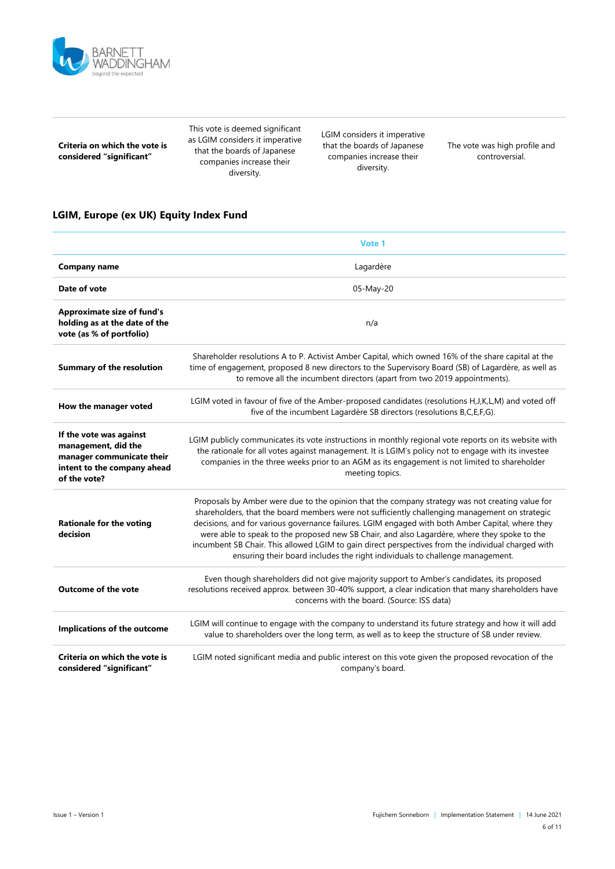

| Criteria on which the vote is |
|-------------------------------|
| considered "significant"      |

This vote is deemed significant as LGIM considers it imperative that the boards of Japanese companies increase their diversity.

LGIM considers it imperative that the boards of Japanese companies increase their diversity.

The vote was high profile and controversial.

#### **LGIM, Europe (ex UK) Equity Index Fund**

|                                                                                                                            | Vote 1                                                                                                                                                                                                                                                                                                                                                                                                                                                                                                                                                                                      |  |  |
|----------------------------------------------------------------------------------------------------------------------------|---------------------------------------------------------------------------------------------------------------------------------------------------------------------------------------------------------------------------------------------------------------------------------------------------------------------------------------------------------------------------------------------------------------------------------------------------------------------------------------------------------------------------------------------------------------------------------------------|--|--|
| <b>Company name</b>                                                                                                        | Lagardère                                                                                                                                                                                                                                                                                                                                                                                                                                                                                                                                                                                   |  |  |
| Date of vote                                                                                                               | 05-May-20                                                                                                                                                                                                                                                                                                                                                                                                                                                                                                                                                                                   |  |  |
| <b>Approximate size of fund's</b><br>holding as at the date of the<br>vote (as % of portfolio)                             | n/a                                                                                                                                                                                                                                                                                                                                                                                                                                                                                                                                                                                         |  |  |
| <b>Summary of the resolution</b>                                                                                           | Shareholder resolutions A to P. Activist Amber Capital, which owned 16% of the share capital at the<br>time of engagement, proposed 8 new directors to the Supervisory Board (SB) of Lagardère, as well as<br>to remove all the incumbent directors (apart from two 2019 appointments).                                                                                                                                                                                                                                                                                                     |  |  |
| How the manager voted                                                                                                      | LGIM voted in favour of five of the Amber-proposed candidates (resolutions H, J, K, L, M) and voted off<br>five of the incumbent Lagardère SB directors (resolutions B,C,E,F,G).                                                                                                                                                                                                                                                                                                                                                                                                            |  |  |
| If the vote was against<br>management, did the<br>manager communicate their<br>intent to the company ahead<br>of the vote? | LGIM publicly communicates its vote instructions in monthly regional vote reports on its website with<br>the rationale for all votes against management. It is LGIM's policy not to engage with its investee<br>companies in the three weeks prior to an AGM as its engagement is not limited to shareholder<br>meeting topics.                                                                                                                                                                                                                                                             |  |  |
| <b>Rationale for the voting</b><br>decision                                                                                | Proposals by Amber were due to the opinion that the company strategy was not creating value for<br>shareholders, that the board members were not sufficiently challenging management on strategic<br>decisions, and for various governance failures. LGIM engaged with both Amber Capital, where they<br>were able to speak to the proposed new SB Chair, and also Lagardère, where they spoke to the<br>incumbent SB Chair. This allowed LGIM to gain direct perspectives from the individual charged with<br>ensuring their board includes the right individuals to challenge management. |  |  |
| <b>Outcome of the vote</b>                                                                                                 | Even though shareholders did not give majority support to Amber's candidates, its proposed<br>resolutions received approx. between 30-40% support, a clear indication that many shareholders have<br>concerns with the board. (Source: ISS data)                                                                                                                                                                                                                                                                                                                                            |  |  |
| Implications of the outcome                                                                                                | LGIM will continue to engage with the company to understand its future strategy and how it will add<br>value to shareholders over the long term, as well as to keep the structure of SB under review.                                                                                                                                                                                                                                                                                                                                                                                       |  |  |
| Criteria on which the vote is<br>considered "significant"                                                                  | LGIM noted significant media and public interest on this vote given the proposed revocation of the<br>company's board.                                                                                                                                                                                                                                                                                                                                                                                                                                                                      |  |  |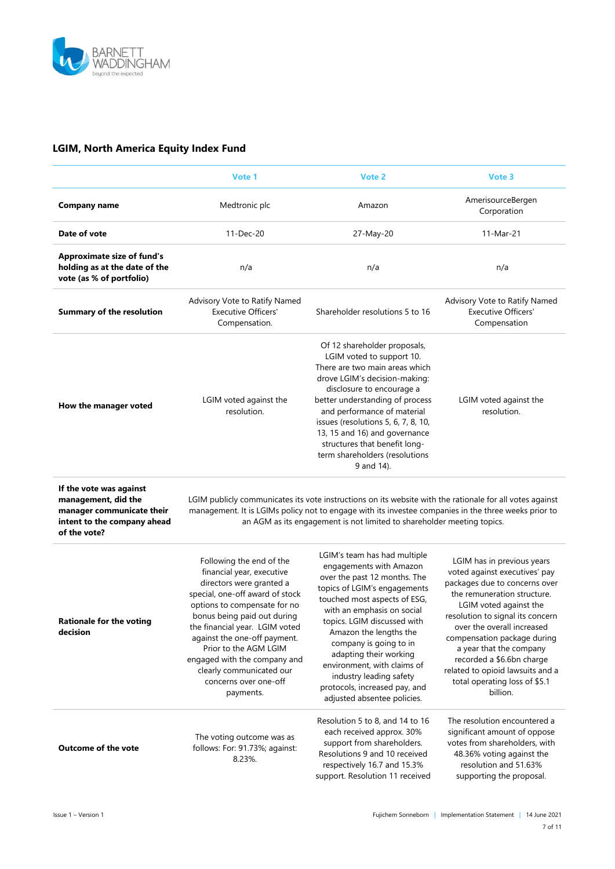

### **LGIM, North America Equity Index Fund**

|                                                                                                                            | Vote 1                                                                                                                                                                                                                                                                                                                                                                           | Vote 2                                                                                                                                                                                                                                                                                                                                                                                                                       | Vote 3                                                                                                                                                                                                                                                                                                                                                                                          |
|----------------------------------------------------------------------------------------------------------------------------|----------------------------------------------------------------------------------------------------------------------------------------------------------------------------------------------------------------------------------------------------------------------------------------------------------------------------------------------------------------------------------|------------------------------------------------------------------------------------------------------------------------------------------------------------------------------------------------------------------------------------------------------------------------------------------------------------------------------------------------------------------------------------------------------------------------------|-------------------------------------------------------------------------------------------------------------------------------------------------------------------------------------------------------------------------------------------------------------------------------------------------------------------------------------------------------------------------------------------------|
| <b>Company name</b>                                                                                                        | Medtronic plc                                                                                                                                                                                                                                                                                                                                                                    | Amazon                                                                                                                                                                                                                                                                                                                                                                                                                       | AmerisourceBergen<br>Corporation                                                                                                                                                                                                                                                                                                                                                                |
| Date of vote                                                                                                               | 11-Dec-20                                                                                                                                                                                                                                                                                                                                                                        | 27-May-20                                                                                                                                                                                                                                                                                                                                                                                                                    | 11-Mar-21                                                                                                                                                                                                                                                                                                                                                                                       |
| <b>Approximate size of fund's</b><br>holding as at the date of the<br>vote (as % of portfolio)                             | n/a                                                                                                                                                                                                                                                                                                                                                                              | n/a                                                                                                                                                                                                                                                                                                                                                                                                                          | n/a                                                                                                                                                                                                                                                                                                                                                                                             |
| <b>Summary of the resolution</b>                                                                                           | Advisory Vote to Ratify Named<br><b>Executive Officers'</b><br>Compensation.                                                                                                                                                                                                                                                                                                     | Shareholder resolutions 5 to 16                                                                                                                                                                                                                                                                                                                                                                                              | Advisory Vote to Ratify Named<br><b>Executive Officers'</b><br>Compensation                                                                                                                                                                                                                                                                                                                     |
| How the manager voted                                                                                                      | LGIM voted against the<br>resolution.                                                                                                                                                                                                                                                                                                                                            | Of 12 shareholder proposals,<br>LGIM voted to support 10.<br>There are two main areas which<br>drove LGIM's decision-making:<br>disclosure to encourage a<br>better understanding of process<br>and performance of material<br>issues (resolutions 5, 6, 7, 8, 10,<br>13, 15 and 16) and governance<br>structures that benefit long-<br>term shareholders (resolutions<br>9 and 14).                                         | LGIM voted against the<br>resolution.                                                                                                                                                                                                                                                                                                                                                           |
| If the vote was against<br>management, did the<br>manager communicate their<br>intent to the company ahead<br>of the vote? |                                                                                                                                                                                                                                                                                                                                                                                  | LGIM publicly communicates its vote instructions on its website with the rationale for all votes against<br>management. It is LGIMs policy not to engage with its investee companies in the three weeks prior to<br>an AGM as its engagement is not limited to shareholder meeting topics.                                                                                                                                   |                                                                                                                                                                                                                                                                                                                                                                                                 |
| <b>Rationale for the voting</b><br>decision                                                                                | Following the end of the<br>financial year, executive<br>directors were granted a<br>special, one-off award of stock<br>options to compensate for no<br>bonus being paid out during<br>the financial year. LGIM voted<br>against the one-off payment.<br>Prior to the AGM LGIM<br>engaged with the company and<br>clearly communicated our<br>concerns over one-off<br>payments. | LGIM's team has had multiple<br>engagements with Amazon<br>over the past 12 months. The<br>topics of LGIM's engagements<br>touched most aspects of ESG,<br>with an emphasis on social<br>topics. LGIM discussed with<br>Amazon the lengths the<br>company is going to in<br>adapting their working<br>environment, with claims of<br>industry leading safety<br>protocols, increased pay, and<br>adjusted absentee policies. | LGIM has in previous years<br>voted against executives' pay<br>packages due to concerns over<br>the remuneration structure.<br>LGIM voted against the<br>resolution to signal its concern<br>over the overall increased<br>compensation package during<br>a year that the company<br>recorded a \$6.6bn charge<br>related to opioid lawsuits and a<br>total operating loss of \$5.1<br>billion. |
| <b>Outcome of the vote</b>                                                                                                 | The voting outcome was as<br>follows: For: 91.73%; against:<br>8.23%.                                                                                                                                                                                                                                                                                                            | Resolution 5 to 8, and 14 to 16<br>each received approx. 30%<br>support from shareholders.<br>Resolutions 9 and 10 received<br>respectively 16.7 and 15.3%<br>support. Resolution 11 received                                                                                                                                                                                                                                | The resolution encountered a<br>significant amount of oppose<br>votes from shareholders, with<br>48.36% voting against the<br>resolution and 51.63%<br>supporting the proposal.                                                                                                                                                                                                                 |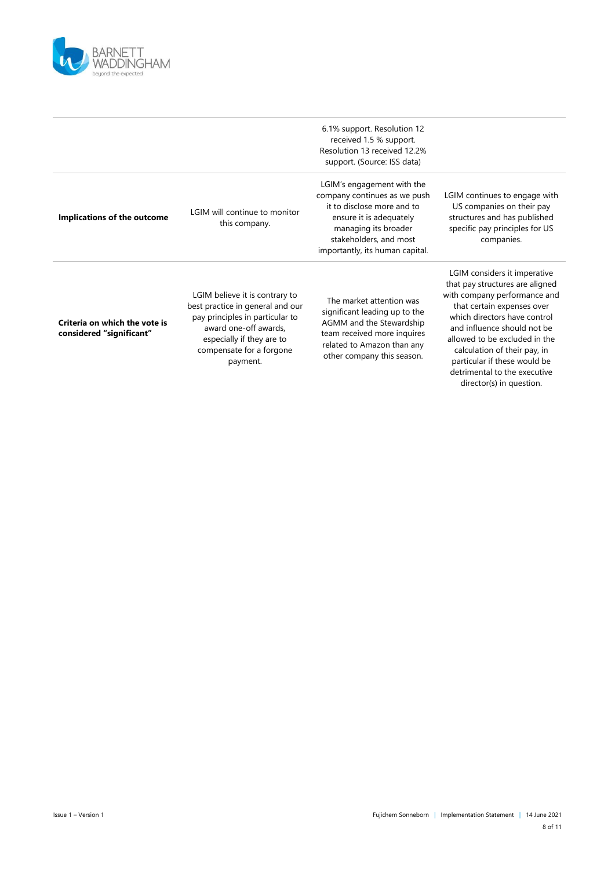

|                                                           |                                                                                                                                                                                                     | 6.1% support. Resolution 12<br>received 1.5 % support.<br>Resolution 13 received 12.2%<br>support. (Source: ISS data)                                                                                    |                                                                                                                                                                                                                                                                                                                                                           |
|-----------------------------------------------------------|-----------------------------------------------------------------------------------------------------------------------------------------------------------------------------------------------------|----------------------------------------------------------------------------------------------------------------------------------------------------------------------------------------------------------|-----------------------------------------------------------------------------------------------------------------------------------------------------------------------------------------------------------------------------------------------------------------------------------------------------------------------------------------------------------|
| Implications of the outcome                               | LGIM will continue to monitor<br>this company.                                                                                                                                                      | LGIM's engagement with the<br>company continues as we push<br>it to disclose more and to<br>ensure it is adequately<br>managing its broader<br>stakeholders, and most<br>importantly, its human capital. | LGIM continues to engage with<br>US companies on their pay<br>structures and has published<br>specific pay principles for US<br>companies.                                                                                                                                                                                                                |
| Criteria on which the vote is<br>considered "significant" | LGIM believe it is contrary to<br>best practice in general and our<br>pay principles in particular to<br>award one-off awards,<br>especially if they are to<br>compensate for a forgone<br>payment. | The market attention was<br>significant leading up to the<br>AGMM and the Stewardship<br>team received more inquires<br>related to Amazon than any<br>other company this season.                         | LGIM considers it imperative<br>that pay structures are aligned<br>with company performance and<br>that certain expenses over<br>which directors have control<br>and influence should not be<br>allowed to be excluded in the<br>calculation of their pay, in<br>particular if these would be<br>detrimental to the executive<br>director(s) in question. |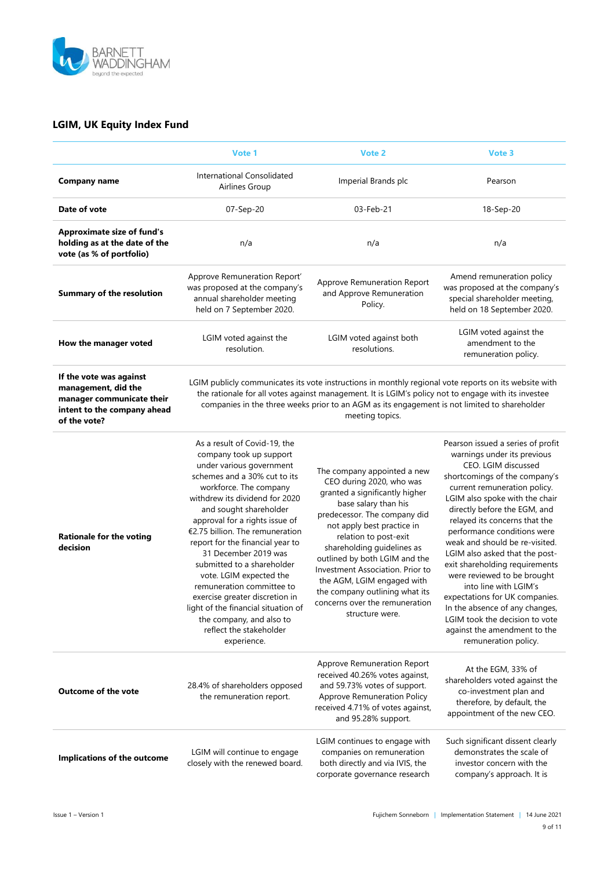

### **LGIM, UK Equity Index Fund**

|                                                                                                                            | Vote 1                                                                                                                                                                                                                                                                                                                                                                                                                                                                                                                                                                          | Vote 2                                                                                                                                                                                                                                                                                                                                                                                                                           | Vote 3                                                                                                                                                                                                                                                                                                                                                                                                                                                                                                                                                                                                                 |
|----------------------------------------------------------------------------------------------------------------------------|---------------------------------------------------------------------------------------------------------------------------------------------------------------------------------------------------------------------------------------------------------------------------------------------------------------------------------------------------------------------------------------------------------------------------------------------------------------------------------------------------------------------------------------------------------------------------------|----------------------------------------------------------------------------------------------------------------------------------------------------------------------------------------------------------------------------------------------------------------------------------------------------------------------------------------------------------------------------------------------------------------------------------|------------------------------------------------------------------------------------------------------------------------------------------------------------------------------------------------------------------------------------------------------------------------------------------------------------------------------------------------------------------------------------------------------------------------------------------------------------------------------------------------------------------------------------------------------------------------------------------------------------------------|
| <b>Company name</b>                                                                                                        | International Consolidated<br>Airlines Group                                                                                                                                                                                                                                                                                                                                                                                                                                                                                                                                    | Imperial Brands plc                                                                                                                                                                                                                                                                                                                                                                                                              | Pearson                                                                                                                                                                                                                                                                                                                                                                                                                                                                                                                                                                                                                |
| Date of vote                                                                                                               | 07-Sep-20                                                                                                                                                                                                                                                                                                                                                                                                                                                                                                                                                                       | 03-Feb-21                                                                                                                                                                                                                                                                                                                                                                                                                        | 18-Sep-20                                                                                                                                                                                                                                                                                                                                                                                                                                                                                                                                                                                                              |
| <b>Approximate size of fund's</b><br>holding as at the date of the<br>vote (as % of portfolio)                             | n/a                                                                                                                                                                                                                                                                                                                                                                                                                                                                                                                                                                             | n/a                                                                                                                                                                                                                                                                                                                                                                                                                              | n/a                                                                                                                                                                                                                                                                                                                                                                                                                                                                                                                                                                                                                    |
| <b>Summary of the resolution</b>                                                                                           | Approve Remuneration Report'<br>was proposed at the company's<br>annual shareholder meeting<br>held on 7 September 2020.                                                                                                                                                                                                                                                                                                                                                                                                                                                        | Approve Remuneration Report<br>and Approve Remuneration<br>Policy.                                                                                                                                                                                                                                                                                                                                                               | Amend remuneration policy<br>was proposed at the company's<br>special shareholder meeting,<br>held on 18 September 2020.                                                                                                                                                                                                                                                                                                                                                                                                                                                                                               |
| How the manager voted                                                                                                      | LGIM voted against the<br>resolution.                                                                                                                                                                                                                                                                                                                                                                                                                                                                                                                                           | LGIM voted against both<br>resolutions.                                                                                                                                                                                                                                                                                                                                                                                          | LGIM voted against the<br>amendment to the<br>remuneration policy.                                                                                                                                                                                                                                                                                                                                                                                                                                                                                                                                                     |
| If the vote was against<br>management, did the<br>manager communicate their<br>intent to the company ahead<br>of the vote? | LGIM publicly communicates its vote instructions in monthly regional vote reports on its website with<br>the rationale for all votes against management. It is LGIM's policy not to engage with its investee<br>companies in the three weeks prior to an AGM as its engagement is not limited to shareholder<br>meeting topics.                                                                                                                                                                                                                                                 |                                                                                                                                                                                                                                                                                                                                                                                                                                  |                                                                                                                                                                                                                                                                                                                                                                                                                                                                                                                                                                                                                        |
| <b>Rationale for the voting</b><br>decision                                                                                | As a result of Covid-19, the<br>company took up support<br>under various government<br>schemes and a 30% cut to its<br>workforce. The company<br>withdrew its dividend for 2020<br>and sought shareholder<br>approval for a rights issue of<br>€2.75 billion. The remuneration<br>report for the financial year to<br>31 December 2019 was<br>submitted to a shareholder<br>vote. LGIM expected the<br>remuneration committee to<br>exercise greater discretion in<br>light of the financial situation of<br>the company, and also to<br>reflect the stakeholder<br>experience. | The company appointed a new<br>CEO during 2020, who was<br>granted a significantly higher<br>base salary than his<br>predecessor. The company did<br>not apply best practice in<br>relation to post-exit<br>shareholding guidelines as<br>outlined by both LGIM and the<br>Investment Association. Prior to<br>the AGM, LGIM engaged with<br>the company outlining what its<br>concerns over the remuneration<br>structure were. | Pearson issued a series of profit<br>warnings under its previous<br>CEO. LGIM discussed<br>shortcomings of the company's<br>current remuneration policy.<br>LGIM also spoke with the chair<br>directly before the EGM, and<br>relayed its concerns that the<br>performance conditions were<br>weak and should be re-visited.<br>LGIM also asked that the post-<br>exit shareholding requirements<br>were reviewed to be brought<br>into line with LGIM's<br>expectations for UK companies.<br>In the absence of any changes,<br>LGIM took the decision to vote<br>against the amendment to the<br>remuneration policy. |
| <b>Outcome of the vote</b>                                                                                                 | 28.4% of shareholders opposed<br>the remuneration report.                                                                                                                                                                                                                                                                                                                                                                                                                                                                                                                       | Approve Remuneration Report<br>received 40.26% votes against,<br>and 59.73% votes of support.<br>Approve Remuneration Policy<br>received 4.71% of votes against,<br>and 95.28% support.                                                                                                                                                                                                                                          | At the EGM, 33% of<br>shareholders voted against the<br>co-investment plan and<br>therefore, by default, the<br>appointment of the new CEO.                                                                                                                                                                                                                                                                                                                                                                                                                                                                            |
| Implications of the outcome                                                                                                | LGIM will continue to engage<br>closely with the renewed board.                                                                                                                                                                                                                                                                                                                                                                                                                                                                                                                 | LGIM continues to engage with<br>companies on remuneration<br>both directly and via IVIS, the<br>corporate governance research                                                                                                                                                                                                                                                                                                   | Such significant dissent clearly<br>demonstrates the scale of<br>investor concern with the<br>company's approach. It is                                                                                                                                                                                                                                                                                                                                                                                                                                                                                                |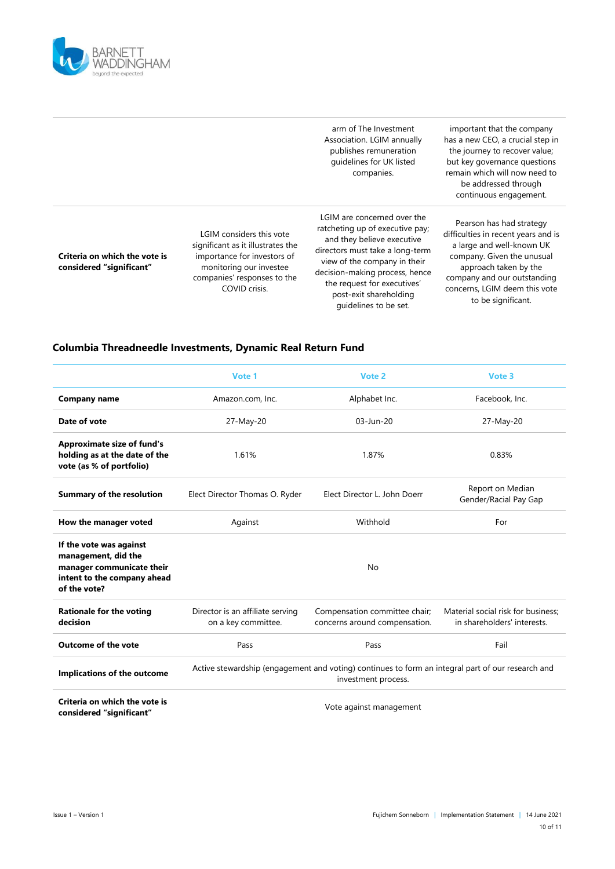

|                                                           |                                                                                                                                                                         | arm of The Investment<br>Association. LGIM annually<br>publishes remuneration<br>quidelines for UK listed<br>companies.                                                                                                                                                             | important that the company<br>has a new CEO, a crucial step in<br>the journey to recover value;<br>but key governance questions<br>remain which will now need to<br>be addressed through<br>continuous engagement.                        |
|-----------------------------------------------------------|-------------------------------------------------------------------------------------------------------------------------------------------------------------------------|-------------------------------------------------------------------------------------------------------------------------------------------------------------------------------------------------------------------------------------------------------------------------------------|-------------------------------------------------------------------------------------------------------------------------------------------------------------------------------------------------------------------------------------------|
| Criteria on which the vote is<br>considered "significant" | LGIM considers this vote<br>significant as it illustrates the<br>importance for investors of<br>monitoring our investee<br>companies' responses to the<br>COVID crisis. | LGIM are concerned over the<br>ratcheting up of executive pay;<br>and they believe executive<br>directors must take a long-term<br>view of the company in their<br>decision-making process, hence<br>the request for executives'<br>post-exit shareholding<br>quidelines to be set. | Pearson has had strategy<br>difficulties in recent years and is<br>a large and well-known UK<br>company. Given the unusual<br>approach taken by the<br>company and our outstanding<br>concerns, LGIM deem this vote<br>to be significant. |

## **Columbia Threadneedle Investments, Dynamic Real Return Fund**

|                                                                                                                            | Vote 1                                                                                                                   | Vote 2                                                         | Vote 3                                                            |
|----------------------------------------------------------------------------------------------------------------------------|--------------------------------------------------------------------------------------------------------------------------|----------------------------------------------------------------|-------------------------------------------------------------------|
| <b>Company name</b>                                                                                                        | Amazon.com, Inc.                                                                                                         | Alphabet Inc.                                                  | Facebook, Inc.                                                    |
| Date of vote                                                                                                               | 27-May-20                                                                                                                | $03$ -Jun-20                                                   | 27-May-20                                                         |
| <b>Approximate size of fund's</b><br>holding as at the date of the<br>vote (as % of portfolio)                             | 1.61%                                                                                                                    | 1.87%                                                          | 0.83%                                                             |
| <b>Summary of the resolution</b>                                                                                           | Elect Director Thomas O. Ryder                                                                                           | Elect Director L. John Doerr                                   | Report on Median<br>Gender/Racial Pay Gap                         |
| How the manager voted                                                                                                      | Against                                                                                                                  | Withhold                                                       | For                                                               |
| If the vote was against<br>management, did the<br>manager communicate their<br>intent to the company ahead<br>of the vote? |                                                                                                                          | No                                                             |                                                                   |
| <b>Rationale for the voting</b><br>decision                                                                                | Director is an affiliate serving<br>on a key committee.                                                                  | Compensation committee chair;<br>concerns around compensation. | Material social risk for business;<br>in shareholders' interests. |
| <b>Outcome of the vote</b>                                                                                                 | Pass                                                                                                                     | Pass                                                           | Fail                                                              |
| Implications of the outcome                                                                                                | Active stewardship (engagement and voting) continues to form an integral part of our research and<br>investment process. |                                                                |                                                                   |
| Criteria on which the vote is<br>considered "significant"                                                                  | Vote against management                                                                                                  |                                                                |                                                                   |